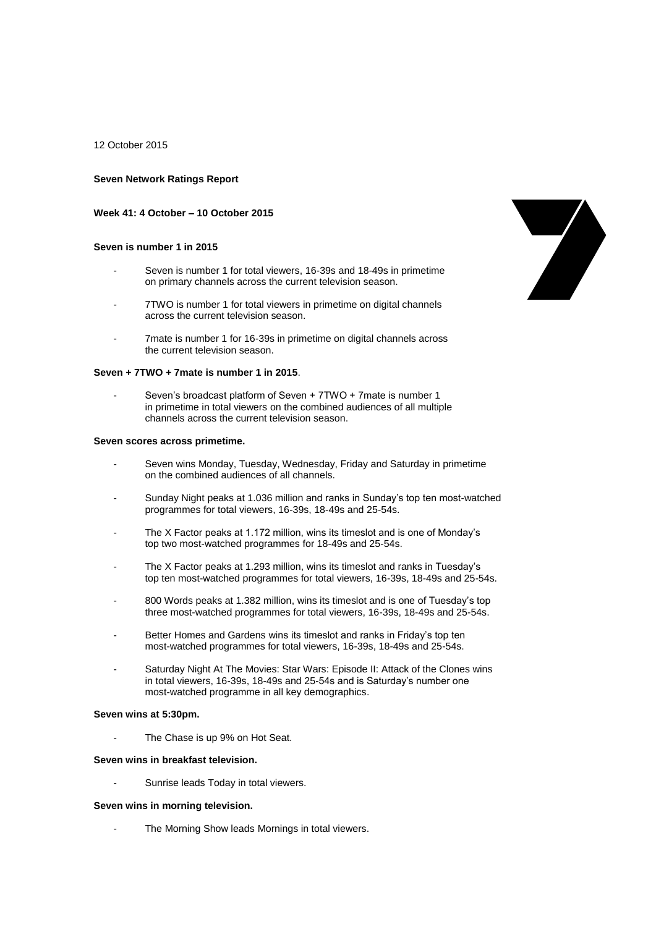12 October 2015

## **Seven Network Ratings Report**

## **Week 41: 4 October – 10 October 2015**

## **Seven is number 1 in 2015**

- Seven is number 1 for total viewers, 16-39s and 18-49s in primetime on primary channels across the current television season.
- 7TWO is number 1 for total viewers in primetime on digital channels across the current television season.
- 7mate is number 1 for 16-39s in primetime on digital channels across the current television season.

#### **Seven + 7TWO + 7mate is number 1 in 2015**.

- Seven's broadcast platform of Seven + 7TWO + 7mate is number 1 in primetime in total viewers on the combined audiences of all multiple channels across the current television season.

#### **Seven scores across primetime.**

- Seven wins Monday, Tuesday, Wednesday, Friday and Saturday in primetime on the combined audiences of all channels.
- Sunday Night peaks at 1.036 million and ranks in Sunday's top ten most-watched programmes for total viewers, 16-39s, 18-49s and 25-54s.
- The X Factor peaks at 1.172 million, wins its timeslot and is one of Monday's top two most-watched programmes for 18-49s and 25-54s.
- The X Factor peaks at 1.293 million, wins its timeslot and ranks in Tuesday's top ten most-watched programmes for total viewers, 16-39s, 18-49s and 25-54s.
- 800 Words peaks at 1.382 million, wins its timeslot and is one of Tuesday's top three most-watched programmes for total viewers, 16-39s, 18-49s and 25-54s.
- Better Homes and Gardens wins its timeslot and ranks in Friday's top ten most-watched programmes for total viewers, 16-39s, 18-49s and 25-54s.
- Saturday Night At The Movies: Star Wars: Episode II: Attack of the Clones wins in total viewers, 16-39s, 18-49s and 25-54s and is Saturday's number one most-watched programme in all key demographics.

#### **Seven wins at 5:30pm.**

The Chase is up 9% on Hot Seat.

#### **Seven wins in breakfast television.**

Sunrise leads Today in total viewers.

# **Seven wins in morning television.**

The Morning Show leads Mornings in total viewers.

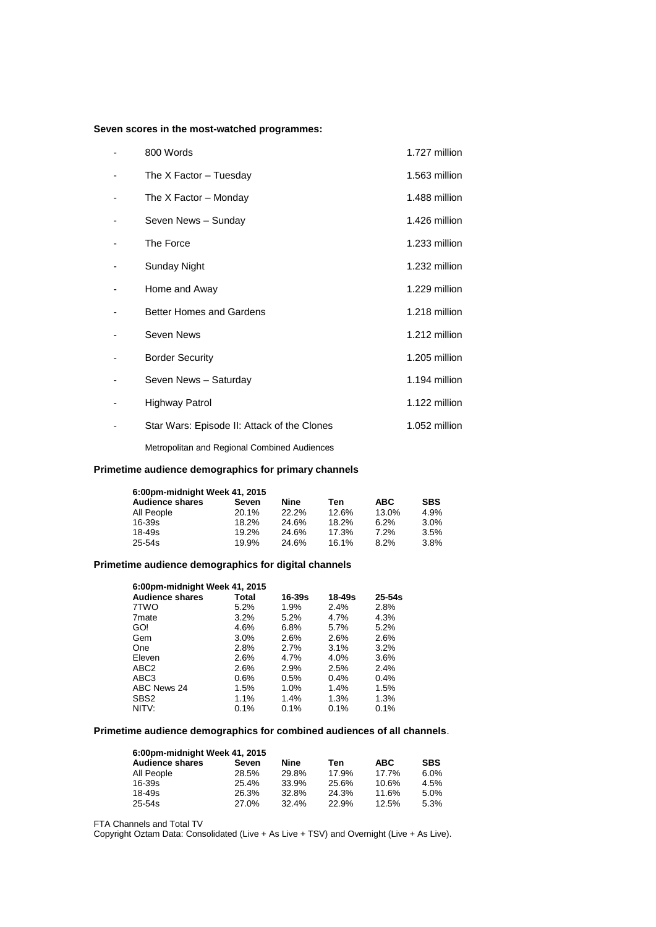# **Seven scores in the most-watched programmes:**

| 800 Words                                   | 1.727 million |
|---------------------------------------------|---------------|
| The X Factor - Tuesday                      | 1.563 million |
| The X Factor – Monday                       | 1.488 million |
| Seven News - Sunday                         | 1.426 million |
| The Force                                   | 1.233 million |
| Sunday Night                                | 1.232 million |
| Home and Away                               | 1.229 million |
| <b>Better Homes and Gardens</b>             | 1.218 million |
| Seven News                                  | 1.212 million |
| <b>Border Security</b>                      | 1.205 million |
| Seven News - Saturday                       | 1.194 million |
| Highway Patrol                              | 1.122 million |
| Star Wars: Episode II: Attack of the Clones | 1.052 million |

Metropolitan and Regional Combined Audiences

# **Primetime audience demographics for primary channels**

| 6:00pm-midnight Week 41, 2015 |       |       |       |            |            |  |
|-------------------------------|-------|-------|-------|------------|------------|--|
| <b>Audience shares</b>        | Seven | Nine  | Ten   | <b>ABC</b> | <b>SBS</b> |  |
| All People                    | 20.1% | 22.2% | 12.6% | 13.0%      | 4.9%       |  |
| $16 - 39s$                    | 18.2% | 24.6% | 18.2% | 6.2%       | 3.0%       |  |
| 18-49s                        | 19.2% | 24.6% | 17.3% | 7.2%       | 3.5%       |  |
| 25-54s                        | 19.9% | 24.6% | 16.1% | 8.2%       | 3.8%       |  |

# **Primetime audience demographics for digital channels**

| 6:00pm-midnight Week 41, 2015 |       |            |        |            |  |  |
|-------------------------------|-------|------------|--------|------------|--|--|
| <b>Audience shares</b>        | Total | $16 - 39s$ | 18-49s | $25 - 54s$ |  |  |
| 7TWO                          | 5.2%  | 1.9%       | 2.4%   | 2.8%       |  |  |
| 7 <sub>mate</sub>             | 3.2%  | 5.2%       | 4.7%   | 4.3%       |  |  |
| GO!                           | 4.6%  | 6.8%       | 5.7%   | 5.2%       |  |  |
| Gem                           | 3.0%  | 2.6%       | 2.6%   | 2.6%       |  |  |
| One                           | 2.8%  | 2.7%       | 3.1%   | 3.2%       |  |  |
| Eleven                        | 2.6%  | 4.7%       | 4.0%   | 3.6%       |  |  |
| ABC <sub>2</sub>              | 2.6%  | 2.9%       | 2.5%   | 2.4%       |  |  |
| ABC <sub>3</sub>              | 0.6%  | 0.5%       | 0.4%   | 0.4%       |  |  |
| ABC News 24                   | 1.5%  | 1.0%       | 1.4%   | 1.5%       |  |  |
| SBS <sub>2</sub>              | 1.1%  | 1.4%       | 1.3%   | 1.3%       |  |  |
| NITV:                         | 0.1%  | 0.1%       | 0.1%   | 0.1%       |  |  |

# **Primetime audience demographics for combined audiences of all channels**.

| 6:00pm-midnight Week 41, 2015 |       |       |       |            |            |  |
|-------------------------------|-------|-------|-------|------------|------------|--|
| <b>Audience shares</b>        | Seven | Nine  | Ten   | <b>ABC</b> | <b>SBS</b> |  |
| All People                    | 28.5% | 29.8% | 17.9% | 17.7%      | 6.0%       |  |
| 16-39s                        | 25.4% | 33.9% | 25.6% | 10.6%      | 4.5%       |  |
| 18-49s                        | 26.3% | 32.8% | 24.3% | 11.6%      | 5.0%       |  |
| 25-54s                        | 27.0% | 32.4% | 22.9% | 12.5%      | 5.3%       |  |

FTA Channels and Total TV

Copyright Oztam Data: Consolidated (Live + As Live + TSV) and Overnight (Live + As Live).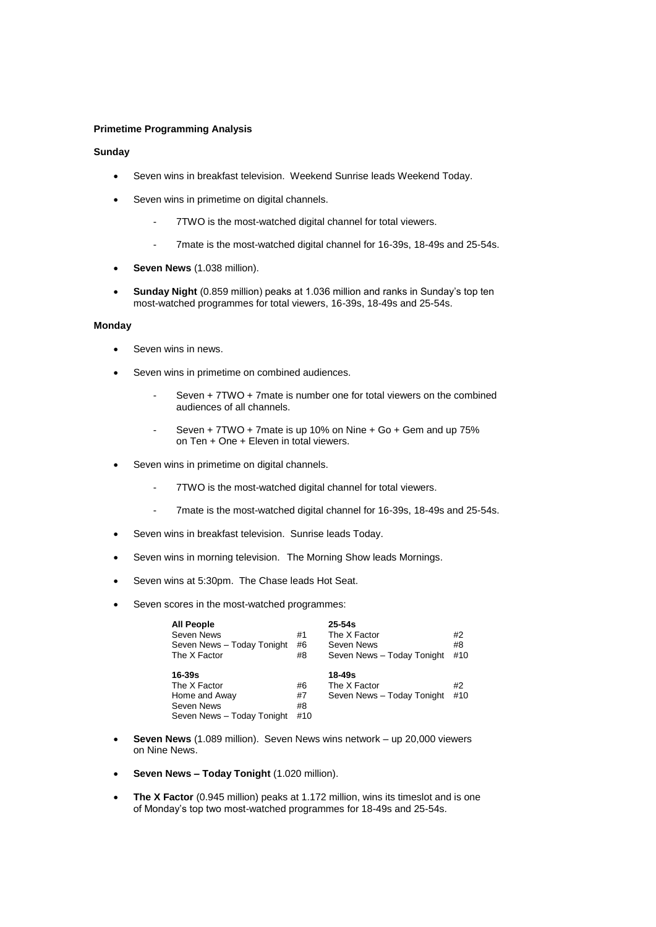# **Primetime Programming Analysis**

# **Sunday**

- Seven wins in breakfast television. Weekend Sunrise leads Weekend Today.
- Seven wins in primetime on digital channels.
	- 7TWO is the most-watched digital channel for total viewers.
	- 7mate is the most-watched digital channel for 16-39s, 18-49s and 25-54s.
- **Seven News** (1.038 million).
- **Sunday Night** (0.859 million) peaks at 1.036 million and ranks in Sunday's top ten most-watched programmes for total viewers, 16-39s, 18-49s and 25-54s.

## **Monday**

- Seven wins in news.
- Seven wins in primetime on combined audiences.
	- Seven + 7TWO + 7mate is number one for total viewers on the combined audiences of all channels.
	- Seven + 7TWO + 7mate is up 10% on Nine + Go + Gem and up 75% on Ten + One + Eleven in total viewers.
- Seven wins in primetime on digital channels.
	- 7TWO is the most-watched digital channel for total viewers.
	- 7mate is the most-watched digital channel for 16-39s, 18-49s and 25-54s.
- Seven wins in breakfast television. Sunrise leads Today.
- Seven wins in morning television. The Morning Show leads Mornings.
- Seven wins at 5:30pm. The Chase leads Hot Seat.
- Seven scores in the most-watched programmes:

| <b>All People</b><br>Seven News<br>Seven News - Today Tonight<br>The X Factor           | #1<br>#6<br>#8        | $25 - 54s$<br>The X Factor<br>Seven News<br>Seven News - Today Tonight | #2<br>#8<br>#10 |
|-----------------------------------------------------------------------------------------|-----------------------|------------------------------------------------------------------------|-----------------|
| $16 - 39s$<br>The X Factor<br>Home and Away<br>Seven News<br>Seven News - Today Tonight | #6<br>#7<br>#8<br>#10 | 18-49s<br>The X Factor<br>Seven News - Today Tonight                   | #2<br>#10       |

- **Seven News** (1.089 million). Seven News wins network up 20,000 viewers on Nine News.
- **Seven News – Today Tonight** (1.020 million).
- **The X Factor** (0.945 million) peaks at 1.172 million, wins its timeslot and is one of Monday's top two most-watched programmes for 18-49s and 25-54s.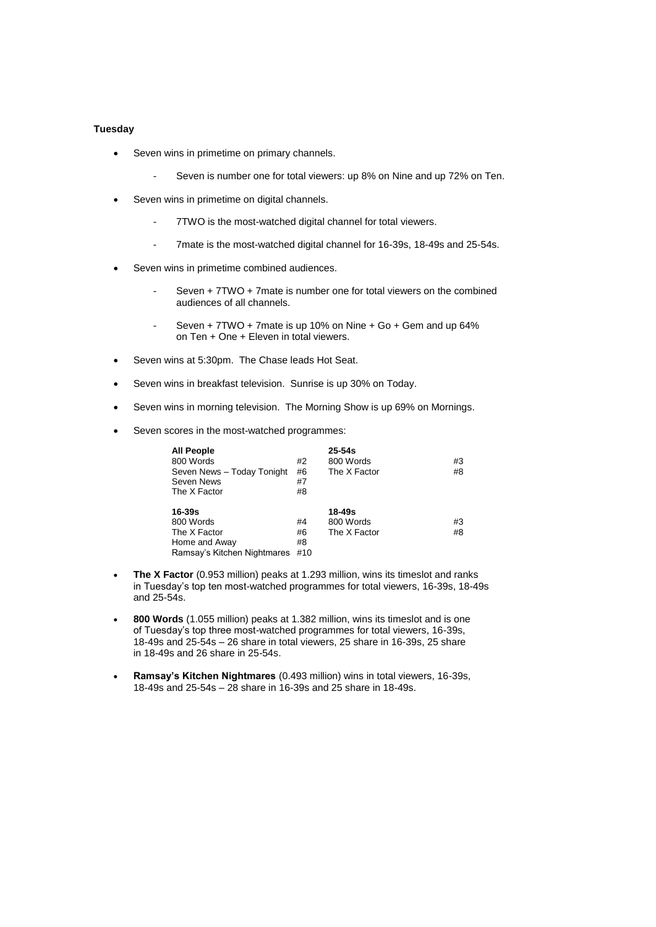# **Tuesday**

- Seven wins in primetime on primary channels.
	- Seven is number one for total viewers: up 8% on Nine and up 72% on Ten.
- Seven wins in primetime on digital channels.
	- 7TWO is the most-watched digital channel for total viewers.
	- 7mate is the most-watched digital channel for 16-39s, 18-49s and 25-54s.
- Seven wins in primetime combined audiences.
	- Seven + 7TWO + 7mate is number one for total viewers on the combined audiences of all channels.
	- Seven + 7TWO + 7mate is up 10% on Nine + Go + Gem and up 64% on Ten + One + Eleven in total viewers.
- Seven wins at 5:30pm. The Chase leads Hot Seat.
- Seven wins in breakfast television. Sunrise is up 30% on Today.
- Seven wins in morning television. The Morning Show is up 69% on Mornings.
- Seven scores in the most-watched programmes:

| <b>All People</b><br>800 Words<br>Seven News - Today Tonight<br>Seven News<br>The X Factor | #2<br>#6<br>#7<br>#8 | $25 - 54s$<br>800 Words<br>The X Factor | #3<br>#8 |
|--------------------------------------------------------------------------------------------|----------------------|-----------------------------------------|----------|
| $16 - 39s$                                                                                 |                      | 18-49s                                  |          |
| 800 Words                                                                                  | #4                   | 800 Words                               | #3       |
| The X Factor                                                                               | #6                   | The X Factor                            | #8       |
| Home and Away                                                                              | #8                   |                                         |          |
| Ramsay's Kitchen Nightmares                                                                | #10                  |                                         |          |

- **The X Factor** (0.953 million) peaks at 1.293 million, wins its timeslot and ranks in Tuesday's top ten most-watched programmes for total viewers, 16-39s, 18-49s and 25-54s.
- **800 Words** (1.055 million) peaks at 1.382 million, wins its timeslot and is one of Tuesday's top three most-watched programmes for total viewers, 16-39s, 18-49s and 25-54s – 26 share in total viewers, 25 share in 16-39s, 25 share in 18-49s and 26 share in 25-54s.
- **Ramsay's Kitchen Nightmares** (0.493 million) wins in total viewers, 16-39s, 18-49s and 25-54s – 28 share in 16-39s and 25 share in 18-49s.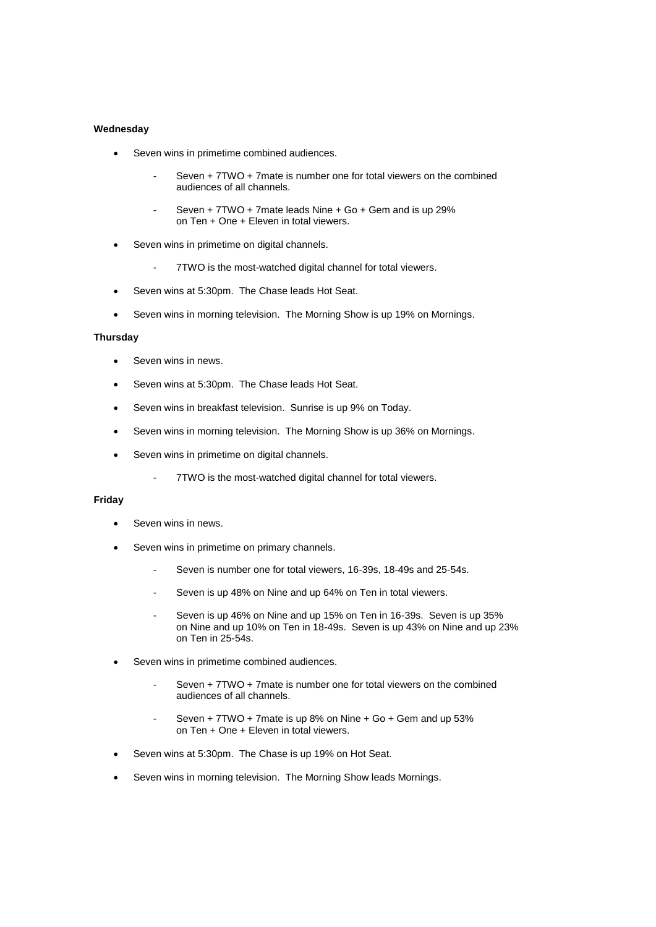# **Wednesday**

- Seven wins in primetime combined audiences.
	- Seven + 7TWO + 7mate is number one for total viewers on the combined audiences of all channels.
	- Seven + 7TWO + 7mate leads Nine + Go + Gem and is up 29% on Ten + One + Eleven in total viewers.
- Seven wins in primetime on digital channels.
	- 7TWO is the most-watched digital channel for total viewers.
- Seven wins at 5:30pm. The Chase leads Hot Seat.
- Seven wins in morning television. The Morning Show is up 19% on Mornings.

#### **Thursday**

- Seven wins in news.
- Seven wins at 5:30pm. The Chase leads Hot Seat.
- Seven wins in breakfast television. Sunrise is up 9% on Today.
- Seven wins in morning television. The Morning Show is up 36% on Mornings.
- Seven wins in primetime on digital channels.
	- 7TWO is the most-watched digital channel for total viewers.

## **Friday**

- Seven wins in news.
- Seven wins in primetime on primary channels.
	- Seven is number one for total viewers, 16-39s, 18-49s and 25-54s.
	- Seven is up 48% on Nine and up 64% on Ten in total viewers.
	- Seven is up 46% on Nine and up 15% on Ten in 16-39s. Seven is up 35% on Nine and up 10% on Ten in 18-49s. Seven is up 43% on Nine and up 23% on Ten in 25-54s.
- Seven wins in primetime combined audiences.
	- Seven + 7TWO + 7mate is number one for total viewers on the combined audiences of all channels.
	- Seven + 7TWO + 7mate is up 8% on Nine + Go + Gem and up 53% on Ten + One + Eleven in total viewers.
- Seven wins at 5:30pm. The Chase is up 19% on Hot Seat.
- Seven wins in morning television. The Morning Show leads Mornings.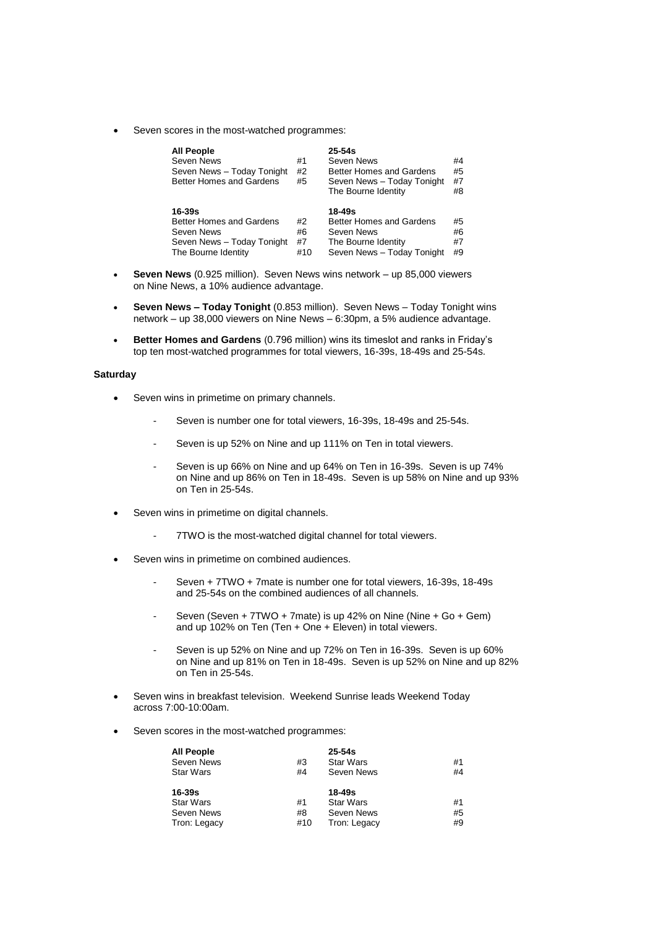Seven scores in the most-watched programmes:

| <b>All People</b><br>Seven News<br>Seven News - Today Tonight<br>Better Homes and Gardens | #1<br>#2<br>#5 | $25 - 54s$<br>Seven News<br>Better Homes and Gardens<br>Seven News - Today Tonight<br>The Bourne Identity | #4<br>#5<br>#7<br>#8 |
|-------------------------------------------------------------------------------------------|----------------|-----------------------------------------------------------------------------------------------------------|----------------------|
| $16 - 39s$                                                                                |                | 18-49s                                                                                                    |                      |
| Better Homes and Gardens                                                                  | #2             | Better Homes and Gardens                                                                                  | #5                   |
| Seven News                                                                                | #6             | Seven News                                                                                                | #6                   |
| Seven News - Today Tonight                                                                | #7             | The Bourne Identity                                                                                       | #7                   |
| The Bourne Identity                                                                       | #10            | Seven News - Today Tonight                                                                                | #9                   |

- **Seven News** (0.925 million). Seven News wins network up 85,000 viewers on Nine News, a 10% audience advantage.
- **Seven News – Today Tonight** (0.853 million). Seven News Today Tonight wins network – up 38,000 viewers on Nine News – 6:30pm, a 5% audience advantage.
- **Better Homes and Gardens** (0.796 million) wins its timeslot and ranks in Friday's top ten most-watched programmes for total viewers, 16-39s, 18-49s and 25-54s.

### **Saturday**

- Seven wins in primetime on primary channels.
	- Seven is number one for total viewers, 16-39s, 18-49s and 25-54s.
	- Seven is up 52% on Nine and up 111% on Ten in total viewers.
	- Seven is up 66% on Nine and up 64% on Ten in 16-39s. Seven is up 74% on Nine and up 86% on Ten in 18-49s. Seven is up 58% on Nine and up 93% on Ten in 25-54s.
- Seven wins in primetime on digital channels.
	- 7TWO is the most-watched digital channel for total viewers.
- Seven wins in primetime on combined audiences.
	- Seven + 7TWO + 7mate is number one for total viewers, 16-39s, 18-49s and 25-54s on the combined audiences of all channels.
	- Seven (Seven + 7TWO + 7mate) is up 42% on Nine (Nine + Go + Gem) and up 102% on Ten (Ten + One + Eleven) in total viewers.
	- Seven is up 52% on Nine and up 72% on Ten in 16-39s. Seven is up 60% on Nine and up 81% on Ten in 18-49s. Seven is up 52% on Nine and up 82% on Ten in 25-54s.
- Seven wins in breakfast television. Weekend Sunrise leads Weekend Today across 7:00-10:00am.
- Seven scores in the most-watched programmes:

| All People   |     | $25 - 54s$       |    |
|--------------|-----|------------------|----|
| Seven News   | #3  | <b>Star Wars</b> | #1 |
| Star Wars    | #4  | Seven News       | #4 |
| 16-39s       |     | 18-49s           |    |
| Star Wars    | #1  | <b>Star Wars</b> | #1 |
| Seven News   | #8  | Seven News       | #5 |
| Tron: Legacy | #10 | Tron: Legacy     | #9 |